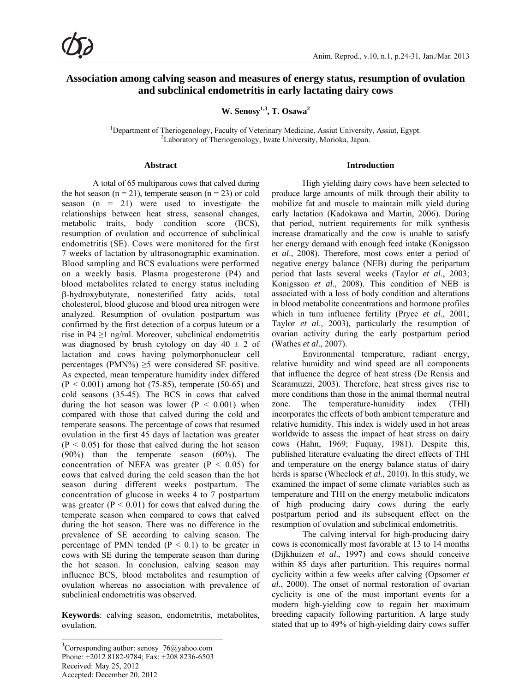# **Association among calving season and measures of energy status, resumption of ovulation and subclinical endometritis in early lactating dairy cows**

W. Senosy<sup>1,3</sup>, T. Osawa<sup>2</sup>

<sup>1</sup>Department of Theriogenology, Faculty of Veterinary Medicine, Assiut University, Assiut, Egypt. <sup>2</sup> Phoretony of Theriogenology, Justa University, Mericle, Japan <sup>2</sup>Laboratory of Theriogenology, Iwate University, Morioka, Japan.

#### **Abstract**

A total of 65 multiparous cows that calved during the hot season ( $n = 21$ ), temperate season ( $n = 23$ ) or cold season  $(n = 21)$  were used to investigate the relationships between heat stress, seasonal changes, metabolic traits, body condition score (BCS), resumption of ovulation and occurrence of subclinical endometritis (SE). Cows were monitored for the first 7 weeks of lactation by ultrasonographic examination. Blood sampling and BCS evaluations were performed on a weekly basis. Plasma progesterone (P4) and blood metabolites related to energy status including -hydroxybutyrate, nonesterified fatty acids, total cholesterol, blood glucose and blood urea nitrogen were analyzed. Resumption of ovulation postpartum was confirmed by the first detection of a corpus luteum or a rise in P4  $\geq$ 1 ng/ml. Moreover, subclinical endometritis was diagnosed by brush cytology on day  $40 \pm 2$  of lactation and cows having polymorphonuclear cell percentages (PMN%)  $\geq$ 5 were considered SE positive. As expected, mean temperature humidity index differed  $(P < 0.001)$  among hot (75-85), temperate (50-65) and cold seasons (35-45). The BCS in cows that calved during the hot season was lower  $(P < 0.001)$  when compared with those that calved during the cold and temperate seasons. The percentage of cows that resumed ovulation in the first 45 days of lactation was greater  $(P < 0.05)$  for those that calved during the hot season (90%) than the temperate season (60%). The concentration of NEFA was greater ( $P < 0.05$ ) for cows that calved during the cold season than the hot season during different weeks postpartum. The concentration of glucose in weeks 4 to 7 postpartum was greater  $(P < 0.01)$  for cows that calved during the temperate season when compared to cows that calved during the hot season. There was no difference in the prevalence of SE according to calving season. The percentage of PMN tended  $(P < 0.1)$  to be greater in cows with SE during the temperate season than during the hot season. In conclusion, calving season may influence BCS, blood metabolites and resumption of ovulation whereas no association with prevalence of subclinical endometritis was observed.

**Keywords**: calving season, endometritis, metabolites, ovulation.

#### **Introduction**

High yielding dairy cows have been selected to produce large amounts of milk through their ability to mobilize fat and muscle to maintain milk yield during early lactation (Kadokawa and Martin, 2006). During that period, nutrient requirements for milk synthesis increase dramatically and the cow is unable to satisfy her energy demand with enough feed intake (Konigsson *et al*., 2008). Therefore, most cows enter a period of negative energy balance (NEB) during the peripartum period that lasts several weeks (Taylor *et al*., 2003; Konigsson *et al*., 2008). This condition of NEB is associated with a loss of body condition and alterations in blood metabolite concentrations and hormone profiles which in turn influence fertility (Pryce *et al*., 2001; Taylor *et al*., 2003), particularly the resumption of ovarian activity during the early postpartum period (Wathes *et al*., 2007).

Environmental temperature, radiant energy, relative humidity and wind speed are all components that influence the degree of heat stress (De Rensis and Scaramuzzi, 2003). Therefore, heat stress gives rise to more conditions than those in the animal thermal neutral zone. The temperature-humidity index (THI) incorporates the effects of both ambient temperature and relative humidity. This index is widely used in hot areas worldwide to assess the impact of heat stress on dairy cows (Hahn, 1969; Fuquay, 1981). Despite this, published literature evaluating the direct effects of THI and temperature on the energy balance status of dairy herds is sparse (Wheelock *et al*., 2010). In this study, we examined the impact of some climate variables such as temperature and THI on the energy metabolic indicators of high producing dairy cows during the early postpartum period and its subsequent effect on the resumption of ovulation and subclinical endometritis.

The calving interval for high-producing dairy cows is economically most favorable at 13 to 14 months (Dijkhuizen *et al*., 1997) and cows should conceive within 85 days after parturition. This requires normal cyclicity within a few weeks after calving (Opsomer *et al*., 2000). The onset of normal restoration of ovarian cyclicity is one of the most important events for a modern high-yielding cow to regain her maximum breeding capacity following parturition. A large study stated that up to 49% of high-yielding dairy cows suffer

 $\mathcal{L}=\{1,2,3,4,5\}$ 

<sup>&</sup>lt;sup>3</sup> Corresponding author: senosy 76@yahoo.com Phone: +2012 8182-9784; Fax: +208 8236-6503 Received: May 25, 2012 Accepted: December 20, 2012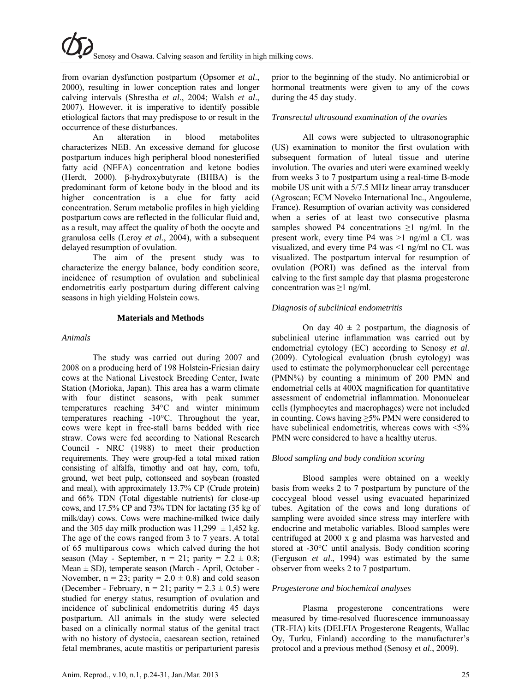from ovarian dysfunction postpartum (Opsomer *et al*., 2000), resulting in lower conception rates and longer calving intervals (Shrestha *et al*., 2004; Walsh *et al*., 2007). However, it is imperative to identify possible etiological factors that may predispose to or result in the occurrence of these disturbances.

An alteration in blood metabolites characterizes NEB. An excessive demand for glucose postpartum induces high peripheral blood nonesterified fatty acid (NEFA) concentration and ketone bodies (Herdt, 2000). β-hydroxybutyrate (BHBA) is the predominant form of ketone body in the blood and its higher concentration is a clue for fatty acid concentration. Serum metabolic profiles in high yielding postpartum cows are reflected in the follicular fluid and, as a result, may affect the quality of both the oocyte and granulosa cells (Leroy *et al*., 2004), with a subsequent delayed resumption of ovulation.

The aim of the present study was to characterize the energy balance, body condition score, incidence of resumption of ovulation and subclinical endometritis early postpartum during different calving seasons in high yielding Holstein cows.

#### **Materials and Methods**

### *Animals*

The study was carried out during 2007 and 2008 on a producing herd of 198 Holstein-Friesian dairy cows at the National Livestock Breeding Center, Iwate Station (Morioka, Japan). This area has a warm climate with four distinct seasons, with peak summer temperatures reaching 34°C and winter minimum temperatures reaching -10°C. Throughout the year, cows were kept in free-stall barns bedded with rice straw. Cows were fed according to National Research Council - NRC (1988) to meet their production requirements. They were group-fed a total mixed ration consisting of alfalfa, timothy and oat hay, corn, tofu, ground, wet beet pulp, cottonseed and soybean (roasted and meal), with approximately 13.7% CP (Crude protein) and 66% TDN (Total digestable nutrients) for close-up cows, and 17.5% CP and 73% TDN for lactating (35 kg of milk/day) cows. Cows were machine-milked twice daily and the 305 day milk production was  $11,299 \pm 1,452$  kg. The age of the cows ranged from 3 to 7 years. A total of 65 multiparous cows which calved during the hot season (May - September,  $n = 21$ ; parity =  $2.2 \pm 0.8$ ; Mean  $\pm$  SD), temperate season (March - April, October -November,  $n = 23$ ; parity =  $2.0 \pm 0.8$ ) and cold season (December - February,  $n = 21$ ; parity =  $2.3 \pm 0.5$ ) were studied for energy status, resumption of ovulation and incidence of subclinical endometritis during 45 days postpartum. All animals in the study were selected based on a clinically normal status of the genital tract with no history of dystocia, caesarean section, retained fetal membranes, acute mastitis or periparturient paresis

### *Transrectal ultrasound examination of the ovaries*

All cows were subjected to ultrasonographic (US) examination to monitor the first ovulation with subsequent formation of luteal tissue and uterine involution. The ovaries and uteri were examined weekly from weeks 3 to 7 postpartum using a real-time B-mode mobile US unit with a 5/7.5 MHz linear array transducer (Agroscan; ECM Noveko International Inc., Angouleme, France). Resumption of ovarian activity was considered when a series of at least two consecutive plasma samples showed P4 concentrations  $\geq 1$  ng/ml. In the present work, every time P4 was >1 ng/ml a CL was visualized, and every time P4 was <1 ng/ml no CL was visualized. The postpartum interval for resumption of ovulation (PORI) was defined as the interval from calving to the first sample day that plasma progesterone concentration was  $\geq 1$  ng/ml.

### *Diagnosis of subclinical endometritis*

On day  $40 \pm 2$  postpartum, the diagnosis of subclinical uterine inflammation was carried out by endometrial cytology (EC) according to Senosy *et al*. (2009). Cytological evaluation (brush cytology) was used to estimate the polymorphonuclear cell percentage (PMN%) by counting a minimum of 200 PMN and endometrial cells at 400X magnification for quantitative assessment of endometrial inflammation. Mononuclear cells (lymphocytes and macrophages) were not included in counting. Cows having  $\geq$ 5% PMN were considered to have subclinical endometritis, whereas cows with  $\leq 5\%$ PMN were considered to have a healthy uterus.

#### *Blood sampling and body condition scoring*

Blood samples were obtained on a weekly basis from weeks 2 to 7 postpartum by puncture of the coccygeal blood vessel using evacuated heparinized tubes. Agitation of the cows and long durations of sampling were avoided since stress may interfere with endocrine and metabolic variables. Blood samples were centrifuged at 2000 x g and plasma was harvested and stored at -30°C until analysis. Body condition scoring (Ferguson *et al*., 1994) was estimated by the same observer from weeks 2 to 7 postpartum.

# *Progesterone and biochemical analyses*

Plasma progesterone concentrations were measured by time-resolved fluorescence immunoassay (TR-FIA) kits (DELFIA Progesterone Reagents, Wallac Oy, Turku, Finland) according to the manufacturer's protocol and a previous method (Senosy *et al*., 2009).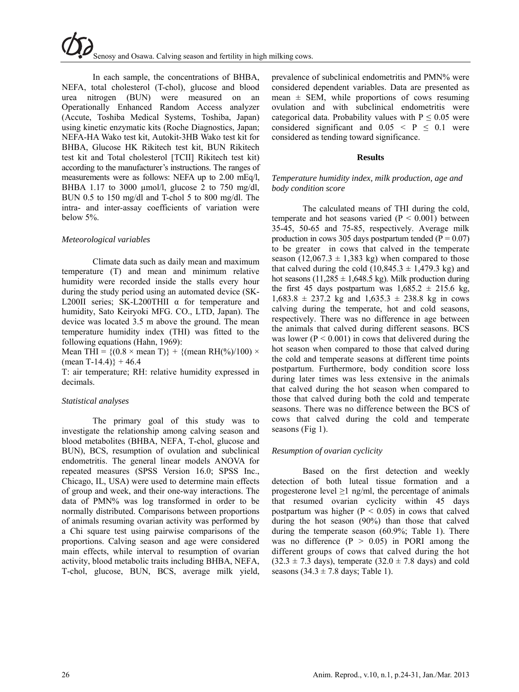In each sample, the concentrations of BHBA, NEFA, total cholesterol (T-chol), glucose and blood urea nitrogen (BUN) were measured on an Operationally Enhanced Random Access analyzer (Accute, Toshiba Medical Systems, Toshiba, Japan) using kinetic enzymatic kits (Roche Diagnostics, Japan; NEFA-HA Wako test kit, Autokit-3HB Wako test kit for BHBA, Glucose HK Rikitech test kit, BUN Rikitech test kit and Total cholesterol [TCII] Rikitech test kit) according to the manufacturer's instructions. The ranges of measurements were as follows: NEFA up to 2.00 mEq/l, BHBA 1.17 to 3000  $\mu$ mol/l, glucose 2 to 750 mg/dl, BUN 0.5 to 150 mg/dl and T-chol 5 to 800 mg/dl. The intra- and inter-assay coefficients of variation were below 5%.

### *Meteorological variables*

Climate data such as daily mean and maximum temperature (T) and mean and minimum relative humidity were recorded inside the stalls every hour during the study period using an automated device (SK-L200II series; SK-L200THII α for temperature and humidity, Sato Keiryoki MFG. CO., LTD, Japan). The device was located 3.5 m above the ground. The mean temperature humidity index (THI) was fitted to the following equations (Hahn, 1969):

Mean THI =  ${(0.8 \times \text{mean T})}$  +  ${(\text{mean RH}(\%)/100) \times}$ (mean T-14.4)} + 46.4

T: air temperature; RH: relative humidity expressed in decimals.

# *Statistical analyses*

The primary goal of this study was to investigate the relationship among calving season and blood metabolites (BHBA, NEFA, T-chol, glucose and BUN), BCS, resumption of ovulation and subclinical endometritis. The general linear models ANOVA for repeated measures (SPSS Version 16.0; SPSS Inc., Chicago, IL, USA) were used to determine main effects of group and week, and their one-way interactions. The data of PMN% was log transformed in order to be normally distributed. Comparisons between proportions of animals resuming ovarian activity was performed by a Chi square test using pairwise comparisons of the proportions. Calving season and age were considered main effects, while interval to resumption of ovarian activity, blood metabolic traits including BHBA, NEFA, T-chol, glucose, BUN, BCS, average milk yield,

prevalence of subclinical endometritis and PMN% were considered dependent variables. Data are presented as mean  $\pm$  SEM, while proportions of cows resuming ovulation and with subclinical endometritis were categorical data. Probability values with  $P \le 0.05$  were considered significant and  $0.05 \leq P \leq 0.1$  were considered as tending toward significance.

### **Results**

## *Temperature humidity index, milk production, age and body condition score*

The calculated means of THI during the cold, temperate and hot seasons varied  $(P < 0.001)$  between 35-45, 50-65 and 75-85, respectively. Average milk production in cows 305 days postpartum tended ( $\overline{P} = 0.07$ ) to be greater in cows that calved in the temperate season (12,067.3  $\pm$  1,383 kg) when compared to those that calved during the cold  $(10,845.3 \pm 1,479.3 \text{ kg})$  and hot seasons (11,285  $\pm$  1,648.5 kg). Milk production during the first 45 days postpartum was  $1,685.2 \pm 215.6$  kg,  $1,683.8 \pm 237.2$  kg and  $1,635.3 \pm 238.8$  kg in cows calving during the temperate, hot and cold seasons, respectively. There was no difference in age between the animals that calved during different seasons. BCS was lower ( $P < 0.001$ ) in cows that delivered during the hot season when compared to those that calved during the cold and temperate seasons at different time points postpartum. Furthermore, body condition score loss during later times was less extensive in the animals that calved during the hot season when compared to those that calved during both the cold and temperate seasons. There was no difference between the BCS of cows that calved during the cold and temperate seasons (Fig 1).

# *Resumption of ovarian cyclicity*

Based on the first detection and weekly detection of both luteal tissue formation and a progesterone level  $\geq 1$  ng/ml, the percentage of animals that resumed ovarian cyclicity within 45 days postpartum was higher ( $P < 0.05$ ) in cows that calved during the hot season (90%) than those that calved during the temperate season (60.9%; Table 1). There was no difference  $(P > 0.05)$  in PORI among the different groups of cows that calved during the hot  $(32.3 \pm 7.3 \text{ days})$ , temperate  $(32.0 \pm 7.8 \text{ days})$  and cold seasons  $(34.3 \pm 7.8$  days; Table 1).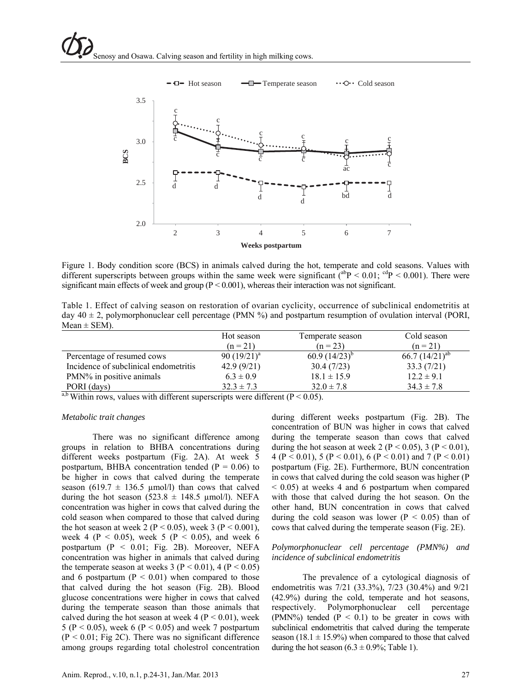

Figure 1. Body condition score (BCS) in animals calved during the hot, temperate and cold seasons. Values with different superscripts between groups within the same week were significant  $\lambda^{ab}P < 0.01$ ;  $^{cd}P < 0.001$ ). There were significant main effects of week and group ( $P < 0.001$ ), whereas their interaction was not significant.

Table 1. Effect of calving season on restoration of ovarian cyclicity, occurrence of subclinical endometritis at day  $40 \pm 2$ , polymorphonuclear cell percentage (PMN %) and postpartum resumption of ovulation interval (PORI,  $Mean \pm SEM$ ).

| Hot season     | Temperate season  | Cold season         |
|----------------|-------------------|---------------------|
| $(n = 21)$     | $(n = 23)$        | $(n = 21)$          |
| 90 $(19/21)^a$ | $60.9(14/23)^{b}$ | 66.7 $(14/21)^{ab}$ |
| 42.9(9/21)     | 30.4(7/23)        | 33.3(7/21)          |
| $6.3 \pm 0.9$  | $18.1 \pm 15.9$   | $12.2 \pm 9.1$      |
| $32.3 \pm 7.3$ | $32.0 \pm 7.8$    | $34.3 \pm 7.8$      |
|                |                   |                     |

<sup>a,b</sup> Within rows, values with different superscripts were different ( $P < 0.05$ ).

#### *Metabolic trait changes*

There was no significant difference among groups in relation to BHBA concentrations during different weeks postpartum (Fig. 2A). At week 5 postpartum, BHBA concentration tended ( $P = 0.06$ ) to be higher in cows that calved during the temperate season (619.7  $\pm$  136.5 µmol/l) than cows that calved during the hot season  $(523.8 \pm 148.5 \text{ µmol/l})$ . NEFA concentration was higher in cows that calved during the cold season when compared to those that calved during the hot season at week 2 (P < 0.05), week 3 (P < 0.001), week 4 ( $P < 0.05$ ), week 5 ( $P < 0.05$ ), and week 6 postpartum (P < 0.01; Fig. 2B). Moreover, NEFA concentration was higher in animals that calved during the temperate season at weeks 3 ( $P < 0.01$ ), 4 ( $P < 0.05$ ) and 6 postpartum ( $P < 0.01$ ) when compared to those that calved during the hot season (Fig. 2B). Blood glucose concentrations were higher in cows that calved during the temperate season than those animals that calved during the hot season at week  $4 (P < 0.01)$ , week 5 ( $P < 0.05$ ), week 6 ( $P < 0.05$ ) and week 7 postpartum  $(P < 0.01$ ; Fig 2C). There was no significant difference among groups regarding total cholestrol concentration

during different weeks postpartum (Fig. 2B). The concentration of BUN was higher in cows that calved during the temperate season than cows that calved during the hot season at week 2 ( $P < 0.05$ ), 3 ( $P < 0.01$ ), 4 (P < 0.01), 5 (P < 0.01), 6 (P < 0.01) and 7 (P < 0.01) postpartum (Fig. 2E). Furthermore, BUN concentration in cows that calved during the cold season was higher (P  $<$  0.05) at weeks 4 and 6 postpartum when compared with those that calved during the hot season. On the other hand, BUN concentration in cows that calved during the cold season was lower ( $P < 0.05$ ) than of cows that calved during the temperate season (Fig. 2E).

#### *Polymorphonuclear cell percentage (PMN%) and incidence of subclinical endometritis*

The prevalence of a cytological diagnosis of endometritis was 7/21 (33.3%), 7/23 (30.4%) and 9/21 (42.9%) during the cold, temperate and hot seasons, respectively. Polymorphonuclear cell percentage (PMN%) tended  $(P < 0.1)$  to be greater in cows with subclinical endometritis that calved during the temperate season (18.1  $\pm$  15.9%) when compared to those that calved during the hot season  $(6.3 \pm 0.9\%;$  Table 1).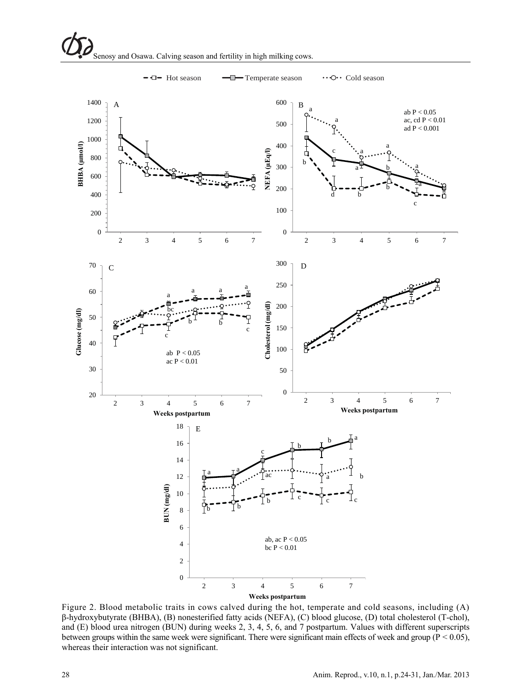

 $\leftarrow$   $\leftarrow$  Hot season  $\leftarrow$  Temperate season  $\cdots$  O $\cdots$  Cold season

Figure 2. Blood metabolic traits in cows calved during the hot, temperate and cold seasons, including (A) β-hydroxybutyrate (BHBA), (B) nonesterified fatty acids (NEFA), (C) blood glucose, (D) total cholesterol (T-chol), and (E) blood urea nitrogen (BUN) during weeks 2, 3, 4, 5, 6, and 7 postpartum. Values with different superscripts between groups within the same week were significant. There were significant main effects of week and group ( $P < 0.05$ ), whereas their interaction was not significant.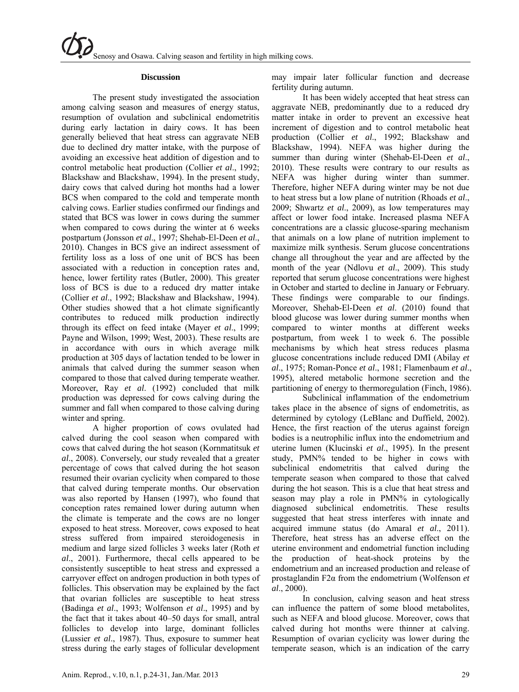#### **Discussion**

The present study investigated the association among calving season and measures of energy status, resumption of ovulation and subclinical endometritis during early lactation in dairy cows. It has been generally believed that heat stress can aggravate NEB due to declined dry matter intake, with the purpose of avoiding an excessive heat addition of digestion and to control metabolic heat production (Collier *et al*., 1992; Blackshaw and Blackshaw, 1994). In the present study, dairy cows that calved during hot months had a lower BCS when compared to the cold and temperate month calving cows. Earlier studies confirmed our findings and stated that BCS was lower in cows during the summer when compared to cows during the winter at 6 weeks postpartum (Jonsson *et al*., 1997; Shehab-El-Deen *et al*., 2010). Changes in BCS give an indirect assessment of fertility loss as a loss of one unit of BCS has been associated with a reduction in conception rates and, hence, lower fertility rates (Butler, 2000). This greater loss of BCS is due to a reduced dry matter intake (Collier *et al*., 1992; Blackshaw and Blackshaw, 1994). Other studies showed that a hot climate significantly contributes to reduced milk production indirectly through its effect on feed intake (Mayer *et al*., 1999; Payne and Wilson, 1999; West, 2003). These results are in accordance with ours in which average milk production at 305 days of lactation tended to be lower in animals that calved during the summer season when compared to those that calved during temperate weather. Moreover, Ray *et al*. (1992) concluded that milk production was depressed for cows calving during the summer and fall when compared to those calving during winter and spring.

A higher proportion of cows ovulated had calved during the cool season when compared with cows that calved during the hot season (Kornmatitsuk *et al*., 2008). Conversely, our study revealed that a greater percentage of cows that calved during the hot season resumed their ovarian cyclicity when compared to those that calved during temperate months. Our observation was also reported by Hansen (1997), who found that conception rates remained lower during autumn when the climate is temperate and the cows are no longer exposed to heat stress. Moreover, cows exposed to heat stress suffered from impaired steroidogenesis in medium and large sized follicles 3 weeks later (Roth *et al*., 2001). Furthermore, thecal cells appeared to be consistently susceptible to heat stress and expressed a carryover effect on androgen production in both types of follicles. This observation may be explained by the fact that ovarian follicles are susceptible to heat stress (Badinga *et al*., 1993; Wolfenson *et al*., 1995) and by the fact that it takes about 40–50 days for small, antral follicles to develop into large, dominant follicles (Lussier *et al*., 1987). Thus, exposure to summer heat stress during the early stages of follicular development

may impair later follicular function and decrease fertility during autumn.

It has been widely accepted that heat stress can aggravate NEB, predominantly due to a reduced dry matter intake in order to prevent an excessive heat increment of digestion and to control metabolic heat production (Collier *et al*., 1992; Blackshaw and Blackshaw, 1994). NEFA was higher during the summer than during winter (Shehab-El-Deen *et al*., 2010). These results were contrary to our results as NEFA was higher during winter than summer. Therefore, higher NEFA during winter may be not due to heat stress but a low plane of nutrition (Rhoads *et al*., 2009; Shwartz *et al*., 2009), as low temperatures may affect or lower food intake. Increased plasma NEFA concentrations are a classic glucose-sparing mechanism that animals on a low plane of nutrition implement to maximize milk synthesis. Serum glucose concentrations change all throughout the year and are affected by the month of the year (Ndlovu *et al*., 2009). This study reported that serum glucose concentrations were highest in October and started to decline in January or February. These findings were comparable to our findings. Moreover, Shehab-El-Deen *et al*. (2010) found that blood glucose was lower during summer months when compared to winter months at different weeks postpartum, from week 1 to week 6. The possible mechanisms by which heat stress reduces plasma glucose concentrations include reduced DMI (Abilay *et al*., 1975; Roman-Ponce *et al*., 1981; Flamenbaum *et al*., 1995), altered metabolic hormone secretion and the partitioning of energy to thermoregulation (Finch, 1986).

Subclinical inflammation of the endometrium takes place in the absence of signs of endometritis, as determined by cytology (LeBlanc and Duffield, 2002). Hence, the first reaction of the uterus against foreign bodies is a neutrophilic influx into the endometrium and uterine lumen (Klucinski *et al*., 1995). In the present study, PMN% tended to be higher in cows with subclinical endometritis that calved during the temperate season when compared to those that calved during the hot season. This is a clue that heat stress and season may play a role in PMN% in cytologically diagnosed subclinical endometritis. These results suggested that heat stress interferes with innate and acquired immune status (do Amaral *et al*., 2011). Therefore, heat stress has an adverse effect on the uterine environment and endometrial function including the production of heat-shock proteins by the endometrium and an increased production and release of prostaglandin F2α from the endometrium (Wolfenson *et al*., 2000).

In conclusion, calving season and heat stress can influence the pattern of some blood metabolites, such as NEFA and blood glucose. Moreover, cows that calved during hot months were thinner at calving. Resumption of ovarian cyclicity was lower during the temperate season, which is an indication of the carry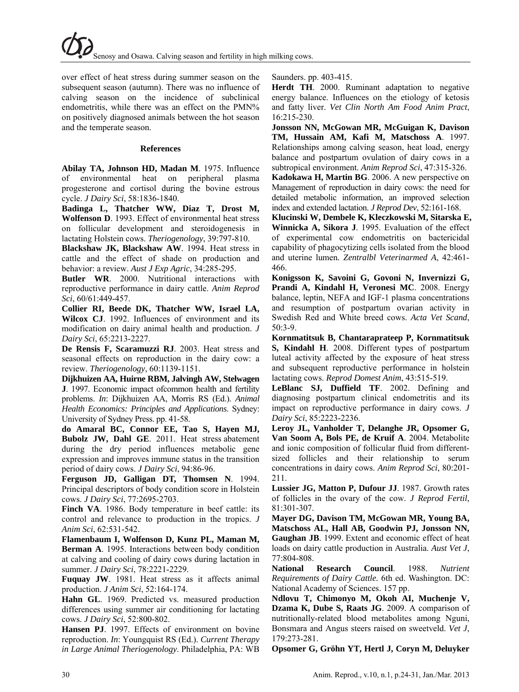over effect of heat stress during summer season on the subsequent season (autumn). There was no influence of calving season on the incidence of subclinical endometritis, while there was an effect on the PMN% on positively diagnosed animals between the hot season and the temperate season.

#### **References**

**Abilay TA, Johnson HD, Madan M**. 1975. Influence of environmental heat on peripheral plasma progesterone and cortisol during the bovine estrous cycle. *J Dairy Sci*, 58:1836-1840.

**Badinga L, Thatcher WW, Diaz T, Drost M, Wolfenson D**. 1993. Effect of environmental heat stress on follicular development and steroidogenesis in lactating Holstein cows. *Theriogenology*, 39:797-810.

**Blackshaw JK, Blackshaw AW**. 1994. Heat stress in cattle and the effect of shade on production and behavior: a review. *Aust J Exp Agric*, 34:285-295.

**Butler WR**. 2000. Nutritional interactions with reproductive performance in dairy cattle. *Anim Reprod Sci*, 60/61:449-457.

**Collier RI, Beede DK, Thatcher WW, Israel LA, Wilcox CJ**. 1992. Influences of environment and its modification on dairy animal health and production. *J Dairy Sci*, 65:2213-2227.

**De Rensis F, Scaramuzzi RJ**. 2003. Heat stress and seasonal effects on reproduction in the dairy cow: a review. *Theriogenology*, 60:1139-1151.

**Dijkhuizen AA, Huirne RBM, Jalvingh AW, Stelwagen J**. 1997. Economic impact ofcommon health and fertility problems. *In*: Dijkhuizen AA, Morris RS (Ed.). *Animal Health Economics: Principles and Applications*. Sydney: University of Sydney Press. pp. 41-58.

**do Amaral BC, Connor EE, Tao S, Hayen MJ, Bubolz JW, Dahl GE**. 2011. Heat stress abatement during the dry period influences metabolic gene expression and improves immune status in the transition period of dairy cows. *J Dairy Sci*, 94:86-96.

**Ferguson JD, Galligan DT, Thomsen N**. 1994. Principal descriptors of body condition score in Holstein cows. *J Dairy Sci*, 77:2695-2703.

**Finch VA.** 1986. Body temperature in beef cattle: its control and relevance to production in the tropics. *J Anim Sci*, 62:531-542.

**Flamenbaum I, Wolfenson D, Kunz PL, Maman M, Berman A**. 1995. Interactions between body condition at calving and cooling of dairy cows during lactation in summer. *J Dairy Sci*, 78:2221-2229.

**Fuquay JW**. 1981. Heat stress as it affects animal production. *J Anim Sci*, 52:164-174.

**Hahn GL**. 1969. Predicted vs. measured production differences using summer air conditioning for lactating cows. *J Dairy Sci*, 52:800-802.

**Hansen PJ**. 1997. Effects of environment on bovine reproduction. *In*: Youngquist RS (Ed.). *Current Therapy in Large Animal Theriogenology*. Philadelphia, PA: WB Saunders. pp. 403-415.

**Herdt TH**. 2000. Ruminant adaptation to negative energy balance. Influences on the etiology of ketosis and fatty liver. *Vet Clin North Am Food Anim Pract*, 16:215-230.

**Jonsson NN, McGowan MR, McGuigan K, Davison TM, Hussain AM, Kafi M, Matschoss A**. 1997. Relationships among calving season, heat load, energy balance and postpartum ovulation of dairy cows in a subtropical environment. *Anim Reprod Sci*, 47:315-326.

**Kadokawa H, Martin BG**. 2006. A new perspective on Management of reproduction in dairy cows: the need for detailed metabolic information, an improved selection index and extended lactation. *J Reprod Dev*, 52:161-168.

**Klucinski W, Dembele K, Kleczkowski M, Sitarska E, Winnicka A, Sikora J**. 1995. Evaluation of the effect of experimental cow endometritis on bactericidal capability of phagocytizing cells isolated from the blood and uterine lumen*. Zentralbl Veterinarmed A*, 42:461- 466.

**Konigsson K, Savoini G, Govoni N, Invernizzi G, Prandi A, Kindahl H, Veronesi MC**. 2008. Energy balance, leptin, NEFA and IGF-1 plasma concentrations and resumption of postpartum ovarian activity in Swedish Red and White breed cows. *Acta Vet Scand*, 50:3-9.

**Kornmatitsuk B, Chantaraprateep P, Kornmatitsuk S, Kindahl H**. 2008. Different types of postpartum luteal activity affected by the exposure of heat stress and subsequent reproductive performance in holstein lactating cows. *Reprod Domest Anim*, 43:515-519.

**LeBlanc SJ, Duffield TF**. 2002. Defining and diagnosing postpartum clinical endometritis and its impact on reproductive performance in dairy cows. *J Dairy Sci*, 85:2223-2236.

**Leroy JL, Vanholder T, Delanghe JR, Opsomer G, Van Soom A, Bols PE, de Kruif A**. 2004. Metabolite and ionic composition of follicular fluid from differentsized follicles and their relationship to serum concentrations in dairy cows. *Anim Reprod Sci*, 80:201- 211.

**Lussier JG, Matton P, Dufour JJ**. 1987. Growth rates of follicles in the ovary of the cow. *J Reprod Fertil*, 81:301-307.

**Mayer DG, Davison TM, McGowan MR, Young BA, Matschoss AL, Hall AB, Goodwin PJ, Jonsson NN, Gaughan JB**. 1999. Extent and economic effect of heat loads on dairy cattle production in Australia. *Aust Vet J*, 77:804-808.

**National Research Council**. 1988. *Nutrient Requirements of Dairy Cattle.* 6th ed. Washington. DC: National Academy of Sciences. 157 pp.

**Ndlovu T, Chimonyo M, Okoh AI, Muchenje V, Dzama K, Dube S, Raats JG**. 2009. A comparison of nutritionally-related blood metabolites among Nguni, Bonsmara and Angus steers raised on sweetveld. *Vet J*, 179:273-281.

**Opsomer G, Gröhn YT, Hertl J, Coryn M, Deluyker**